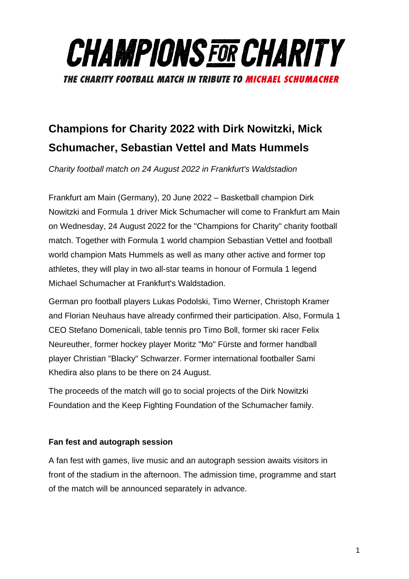

# **Champions for Charity 2022 with Dirk Nowitzki, Mick Schumacher, Sebastian Vettel and Mats Hummels**

*Charity football match on 24 August 2022 in Frankfurt's Waldstadion*

Frankfurt am Main (Germany), 20 June 2022 – Basketball champion Dirk Nowitzki and Formula 1 driver Mick Schumacher will come to Frankfurt am Main on Wednesday, 24 August 2022 for the "Champions for Charity" charity football match. Together with Formula 1 world champion Sebastian Vettel and football world champion Mats Hummels as well as many other active and former top athletes, they will play in two all-star teams in honour of Formula 1 legend Michael Schumacher at Frankfurt's Waldstadion.

German pro football players Lukas Podolski, Timo Werner, Christoph Kramer and Florian Neuhaus have already confirmed their participation. Also, Formula 1 CEO Stefano Domenicali, table tennis pro Timo Boll, former ski racer Felix Neureuther, former hockey player Moritz "Mo" Fürste and former handball player Christian "Blacky" Schwarzer. Former international footballer Sami Khedira also plans to be there on 24 August.

The proceeds of the match will go to social projects of the Dirk Nowitzki Foundation and the Keep Fighting Foundation of the Schumacher family.

# **Fan fest and autograph session**

A fan fest with games, live music and an autograph session awaits visitors in front of the stadium in the afternoon. The admission time, programme and start of the match will be announced separately in advance.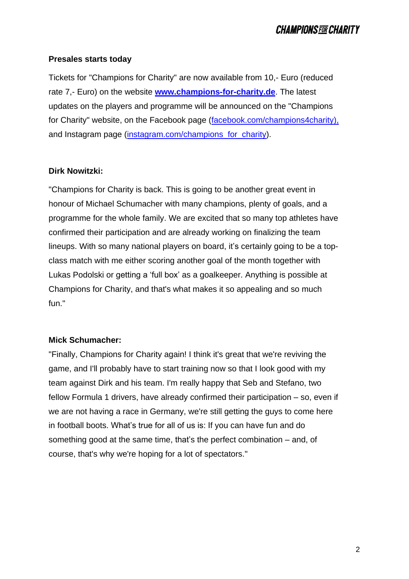#### **Presales starts today**

Tickets for "Champions for Charity" are now available from 10,- Euro (reduced rate 7,- Euro) on the website **[www.champions-for-charity.de](http://www.champions-for-charity.de/)**. The latest updates on the players and programme will be announced on the "Champions for Charity" website, on the Facebook page [\(facebook.com/champions4charity\)](http://www.facebook.com/champions4charity), and Instagram page (instagram.com/champions for charity).

#### **Dirk Nowitzki:**

"Champions for Charity is back. This is going to be another great event in honour of Michael Schumacher with many champions, plenty of goals, and a programme for the whole family. We are excited that so many top athletes have confirmed their participation and are already working on finalizing the team lineups. With so many national players on board, it's certainly going to be a topclass match with me either scoring another goal of the month together with Lukas Podolski or getting a 'full box' as a goalkeeper. Anything is possible at Champions for Charity, and that's what makes it so appealing and so much fun."

## **Mick Schumacher:**

"Finally, Champions for Charity again! I think it's great that we're reviving the game, and I'll probably have to start training now so that I look good with my team against Dirk and his team. I'm really happy that Seb and Stefano, two fellow Formula 1 drivers, have already confirmed their participation – so, even if we are not having a race in Germany, we're still getting the guys to come here in football boots. What's true for all of us is: If you can have fun and do something good at the same time, that's the perfect combination – and, of course, that's why we're hoping for a lot of spectators."